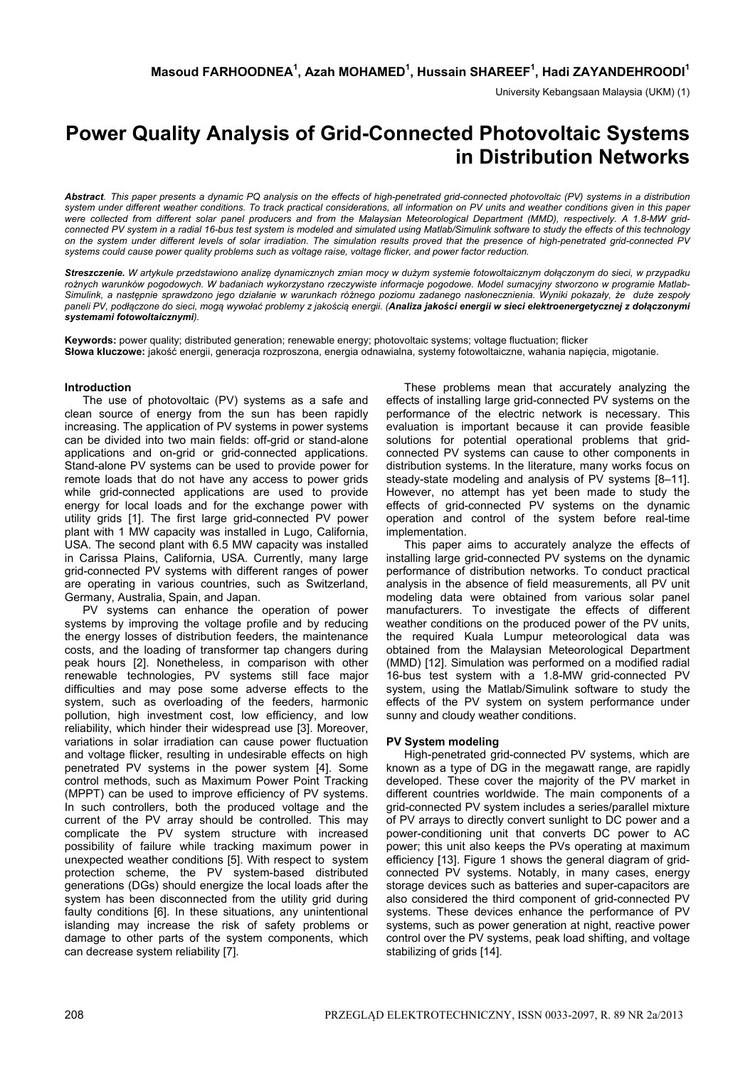University Kebangsaan Malaysia (UKM) (1)

# **Power Quality Analysis of Grid-Connected Photovoltaic Systems in Distribution Networks**

*Abstract. This paper presents a dynamic PQ analysis on the effects of high-penetrated grid-connected photovoltaic (PV) systems in a distribution system under different weather conditions. To track practical considerations, all information on PV units and weather conditions given in this paper were collected from different solar panel producers and from the Malaysian Meteorological Department (MMD), respectively. A 1.8-MW gridconnected PV system in a radial 16-bus test system is modeled and simulated using Matlab/Simulink software to study the effects of this technology on the system under different levels of solar irradiation. The simulation results proved that the presence of high-penetrated grid-connected PV systems could cause power quality problems such as voltage raise, voltage flicker, and power factor reduction.* 

*Streszczenie. W artykule przedstawiono analizę dynamicznych zmian mocy w dużym systemie fotowoltaicznym dołączonym do sieci, w przypadku rożnych warunków pogodowych. W badaniach wykorzystano rzeczywiste informacje pogodowe. Model sumacyjny stworzono w programie Matlab-*Simulink, a następnie sprawdzono jego działanie w warunkach różnego poziomu zadanego nasłonecznienia. Wyniki pokazały, że duże zespoły paneli PV, podłączone do sieci, mogą wywołać problemy z jakością energii. (Analiza jakości energii w sieci elektroenergetycznej z dołączonymi *systemami fotowoltaicznymi).* 

**Keywords:** power quality; distributed generation; renewable energy; photovoltaic systems; voltage fluctuation; flicker **Słowa kluczowe:** jakość energii, generacja rozproszona, energia odnawialna, systemy fotowoltaiczne, wahania napięcia, migotanie.

# **Introduction**

The use of photovoltaic (PV) systems as a safe and clean source of energy from the sun has been rapidly increasing. The application of PV systems in power systems can be divided into two main fields: off-grid or stand-alone applications and on-grid or grid-connected applications. Stand-alone PV systems can be used to provide power for remote loads that do not have any access to power grids while grid-connected applications are used to provide energy for local loads and for the exchange power with utility grids [1]. The first large grid-connected PV power plant with 1 MW capacity was installed in Lugo, California, USA. The second plant with 6.5 MW capacity was installed in Carissa Plains, California, USA. Currently, many large grid-connected PV systems with different ranges of power are operating in various countries, such as Switzerland, Germany, Australia, Spain, and Japan.

PV systems can enhance the operation of power systems by improving the voltage profile and by reducing the energy losses of distribution feeders, the maintenance costs, and the loading of transformer tap changers during peak hours [2]. Nonetheless, in comparison with other renewable technologies, PV systems still face major difficulties and may pose some adverse effects to the system, such as overloading of the feeders, harmonic pollution, high investment cost, low efficiency, and low reliability, which hinder their widespread use [3]. Moreover, variations in solar irradiation can cause power fluctuation and voltage flicker, resulting in undesirable effects on high penetrated PV systems in the power system [4]. Some control methods, such as Maximum Power Point Tracking (MPPT) can be used to improve efficiency of PV systems. In such controllers, both the produced voltage and the current of the PV array should be controlled. This may complicate the PV system structure with increased possibility of failure while tracking maximum power in unexpected weather conditions [5]. With respect to system protection scheme, the PV system-based distributed generations (DGs) should energize the local loads after the system has been disconnected from the utility grid during faulty conditions [6]. In these situations, any unintentional islanding may increase the risk of safety problems or damage to other parts of the system components, which can decrease system reliability [7].

These problems mean that accurately analyzing the effects of installing large grid-connected PV systems on the performance of the electric network is necessary. This evaluation is important because it can provide feasible solutions for potential operational problems that gridconnected PV systems can cause to other components in distribution systems. In the literature, many works focus on steady-state modeling and analysis of PV systems [8–11]. However, no attempt has yet been made to study the effects of grid-connected PV systems on the dynamic operation and control of the system before real-time implementation.

This paper aims to accurately analyze the effects of installing large grid-connected PV systems on the dynamic performance of distribution networks. To conduct practical analysis in the absence of field measurements, all PV unit modeling data were obtained from various solar panel manufacturers. To investigate the effects of different weather conditions on the produced power of the PV units, the required Kuala Lumpur meteorological data was obtained from the Malaysian Meteorological Department (MMD) [12]. Simulation was performed on a modified radial 16-bus test system with a 1.8-MW grid-connected PV system, using the Matlab/Simulink software to study the effects of the PV system on system performance under sunny and cloudy weather conditions.

#### **PV System modeling**

High-penetrated grid-connected PV systems, which are known as a type of DG in the megawatt range, are rapidly developed. These cover the majority of the PV market in different countries worldwide. The main components of a grid-connected PV system includes a series/parallel mixture of PV arrays to directly convert sunlight to DC power and a power-conditioning unit that converts DC power to AC power; this unit also keeps the PVs operating at maximum efficiency [13]. Figure 1 shows the general diagram of gridconnected PV systems. Notably, in many cases, energy storage devices such as batteries and super-capacitors are also considered the third component of grid-connected PV systems. These devices enhance the performance of PV systems, such as power generation at night, reactive power control over the PV systems, peak load shifting, and voltage stabilizing of grids [14].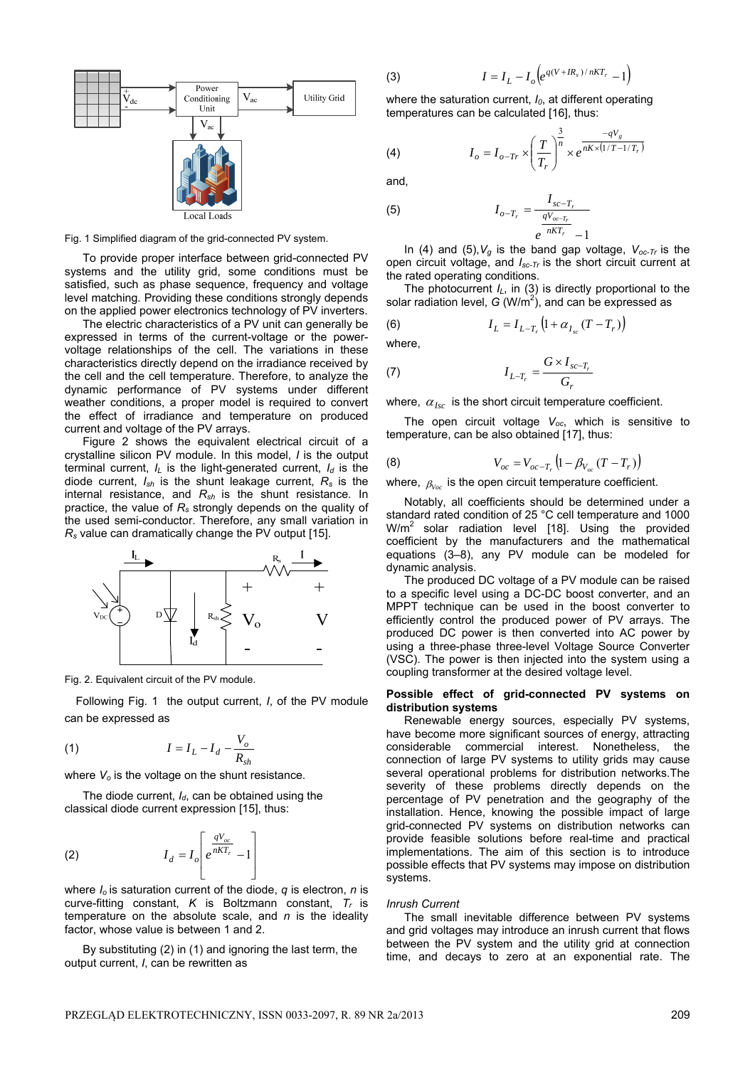

Fig. 1 Simplified diagram of the grid-connected PV system.

To provide proper interface between grid-connected PV systems and the utility grid, some conditions must be satisfied, such as phase sequence, frequency and voltage level matching. Providing these conditions strongly depends on the applied power electronics technology of PV inverters.

The electric characteristics of a PV unit can generally be expressed in terms of the current-voltage or the powervoltage relationships of the cell. The variations in these characteristics directly depend on the irradiance received by the cell and the cell temperature. Therefore, to analyze the dynamic performance of PV systems under different weather conditions, a proper model is required to convert the effect of irradiance and temperature on produced current and voltage of the PV arrays.

Figure 2 shows the equivalent electrical circuit of a crystalline silicon PV module. In this model, *I* is the output terminal current,  $I_L$  is the light-generated current,  $I_d$  is the diode current, *Ish* is the shunt leakage current, *Rs* is the internal resistance, and *Rsh* is the shunt resistance. In practice, the value of  $R<sub>s</sub>$  strongly depends on the quality of the used semi-conductor. Therefore, any small variation in *Rs* value can dramatically change the PV output [15].



Fig. 2. Equivalent circuit of the PV module.

Following Fig. 1 the output current, *I*, of the PV module can be expressed as

$$
(1) \t I = I_L - I_d - \frac{V_o}{R_{sh}}
$$

where  $V<sub>o</sub>$  is the voltage on the shunt resistance.

The diode current,  $I_d$ , can be obtained using the classical diode current expression [15], thus:

$$
I_d = I_o \left[ e^{\frac{qV_{oc}}{nKT_r}} - 1 \right]
$$

where *Io* is saturation current of the diode, *q* is electron, *n* is curve-fitting constant, *K* is Boltzmann constant, *Tr* is temperature on the absolute scale, and *n* is the ideality factor, whose value is between 1 and 2.

By substituting (2) in (1) and ignoring the last term, the output current, *I*, can be rewritten as

(3) 
$$
I = I_L - I_o \Big( e^{q(V + IR_s)/nKT_r} - 1 \Big)
$$

where the saturation current,  $I_0$ , at different operating temperatures can be calculated [16], thus:

(4) 
$$
I_o = I_{o-Tr} \times \left(\frac{T}{T_r}\right)^{\frac{3}{n}} \times e^{\frac{-qV_g}{nK \times (1/T - 1/T_r)}}
$$

and,

(5) 
$$
I_{o-T_r} = \frac{I_{sc-T_r}}{\frac{qV_{oc-T_r}}{e^{nKT_r}} - 1}
$$

In (4) and (5),*Vg* is the band gap voltage, *Voc-Tr* is the open circuit voltage, and *Isc-Tr* is the short circuit current at the rated operating conditions.

The photocurrent  $I_L$ , in (3) is directly proportional to the solar radiation level,  $G(W/m^2)$ , and can be expressed as

(6) 
$$
I_{L} = I_{L-T_{r}} \left( 1 + \alpha_{I_{sc}} (T - T_{r}) \right)
$$

where,

$$
I_{L-T_r} = \frac{G \times I_{sc-T_r}}{G_r}
$$

where,  $\alpha_{Isc}$  is the short circuit temperature coefficient.

The open circuit voltage V<sub>oc</sub>, which is sensitive to temperature, can be also obtained [17], thus:

(8) 
$$
V_{oc} = V_{oc-T_r} \left( 1 - \beta_{V_{oc}} (T - T_r) \right)
$$

where,  $\beta_{Voc}$  is the open circuit temperature coefficient.

Notably, all coefficients should be determined under a standard rated condition of 25 °C cell temperature and 1000  $W/m^2$  solar radiation level [18]. Using the provided coefficient by the manufacturers and the mathematical equations (3–8), any PV module can be modeled for dynamic analysis.

The produced DC voltage of a PV module can be raised to a specific level using a DC-DC boost converter, and an MPPT technique can be used in the boost converter to efficiently control the produced power of PV arrays. The produced DC power is then converted into AC power by using a three-phase three-level Voltage Source Converter (VSC). The power is then injected into the system using a coupling transformer at the desired voltage level.

# **Possible effect of grid-connected PV systems on distribution systems**

Renewable energy sources, especially PV systems, have become more significant sources of energy, attracting considerable commercial interest. Nonetheless, the connection of large PV systems to utility grids may cause several operational problems for distribution networks.The severity of these problems directly depends on the percentage of PV penetration and the geography of the installation. Hence, knowing the possible impact of large grid-connected PV systems on distribution networks can provide feasible solutions before real-time and practical implementations. The aim of this section is to introduce possible effects that PV systems may impose on distribution systems.

#### *Inrush Current*

The small inevitable difference between PV systems and grid voltages may introduce an inrush current that flows between the PV system and the utility grid at connection time, and decays to zero at an exponential rate. The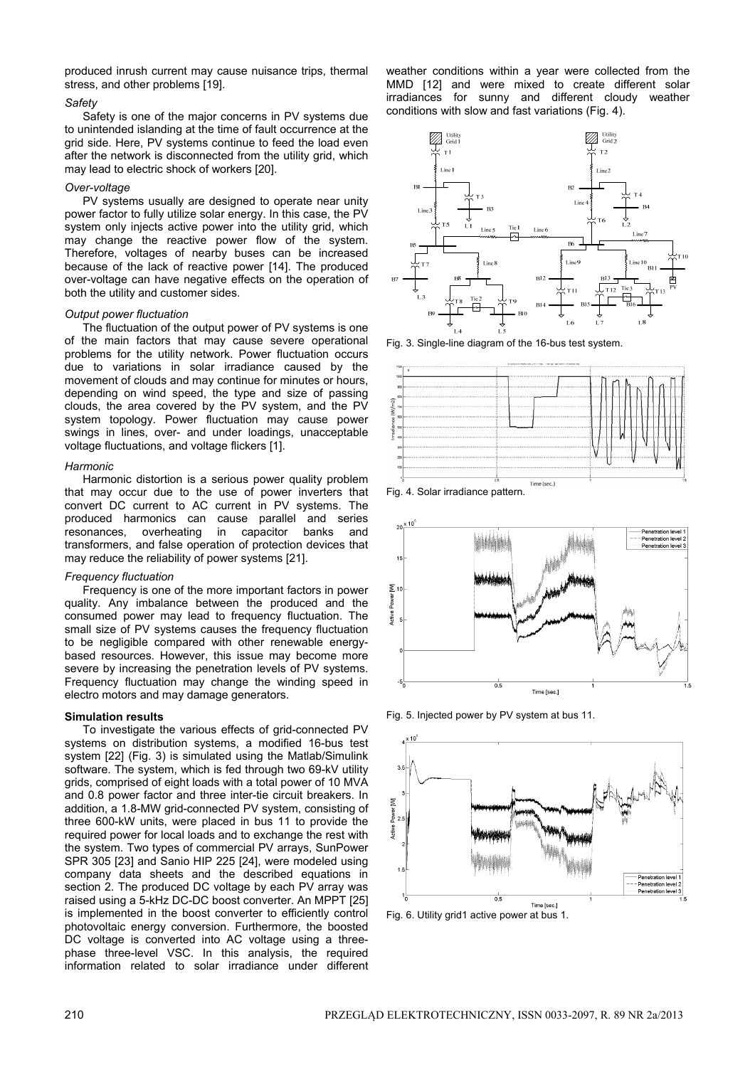produced inrush current may cause nuisance trips, thermal stress, and other problems [19].

# *Safety*

Safety is one of the major concerns in PV systems due to unintended islanding at the time of fault occurrence at the grid side. Here, PV systems continue to feed the load even after the network is disconnected from the utility grid, which may lead to electric shock of workers [20].

#### *Over-voltage*

PV systems usually are designed to operate near unity power factor to fully utilize solar energy. In this case, the PV system only injects active power into the utility grid, which may change the reactive power flow of the system. Therefore, voltages of nearby buses can be increased because of the lack of reactive power [14]. The produced over-voltage can have negative effects on the operation of both the utility and customer sides.

## *Output power fluctuation*

The fluctuation of the output power of PV systems is one of the main factors that may cause severe operational problems for the utility network. Power fluctuation occurs due to variations in solar irradiance caused by the movement of clouds and may continue for minutes or hours, depending on wind speed, the type and size of passing clouds, the area covered by the PV system, and the PV system topology. Power fluctuation may cause power swings in lines, over- and under loadings, unacceptable voltage fluctuations, and voltage flickers [1].

## *Harmonic*

Harmonic distortion is a serious power quality problem that may occur due to the use of power inverters that convert DC current to AC current in PV systems. The produced harmonics can cause parallel and series resonances, overheating in capacitor banks and transformers, and false operation of protection devices that may reduce the reliability of power systems [21].

# *Frequency fluctuation*

Frequency is one of the more important factors in power quality. Any imbalance between the produced and the consumed power may lead to frequency fluctuation. The small size of PV systems causes the frequency fluctuation to be negligible compared with other renewable energybased resources. However, this issue may become more severe by increasing the penetration levels of PV systems. Frequency fluctuation may change the winding speed in electro motors and may damage generators.

# **Simulation results**

To investigate the various effects of grid-connected PV systems on distribution systems, a modified 16-bus test system [22] (Fig. 3) is simulated using the Matlab/Simulink software. The system, which is fed through two 69-kV utility grids, comprised of eight loads with a total power of 10 MVA and 0.8 power factor and three inter-tie circuit breakers. In addition, a 1.8-MW grid-connected PV system, consisting of three 600-kW units, were placed in bus 11 to provide the required power for local loads and to exchange the rest with the system. Two types of commercial PV arrays, SunPower SPR 305 [23] and Sanio HIP 225 [24], were modeled using company data sheets and the described equations in section 2. The produced DC voltage by each PV array was raised using a 5-kHz DC-DC boost converter. An MPPT [25] is implemented in the boost converter to efficiently control photovoltaic energy conversion. Furthermore, the boosted DC voltage is converted into AC voltage using a threephase three-level VSC. In this analysis, the required information related to solar irradiance under different

weather conditions within a year were collected from the MMD [12] and were mixed to create different solar irradiances for sunny and different cloudy weather conditions with slow and fast variations (Fig. 4).



Fig. 3. Single-line diagram of the 16-bus test system.







Fig. 5. Injected power by PV system at bus 11.



Fig. 6. Utility grid1 active power at bus 1.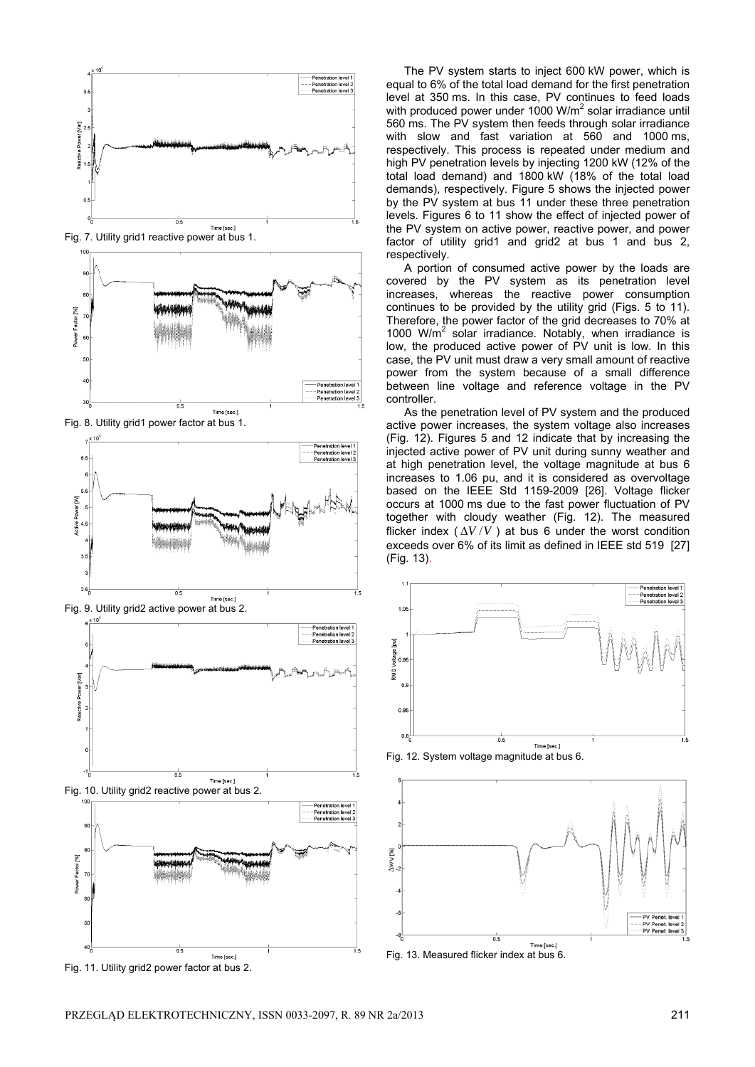

Fig. 11. Utility grid2 power factor at bus 2.

The PV system starts to inject 600 kW power, which is equal to 6% of the total load demand for the first penetration level at 350 ms. In this case, PV continues to feed loads with produced power under 1000  $W/m^2$  solar irradiance until 560 ms. The PV system then feeds through solar irradiance with slow and fast variation at 560 and 1000 ms, respectively. This process is repeated under medium and high PV penetration levels by injecting 1200 kW (12% of the total load demand) and 1800 kW (18% of the total load demands), respectively. Figure 5 shows the injected power by the PV system at bus 11 under these three penetration levels. Figures 6 to 11 show the effect of injected power of the PV system on active power, reactive power, and power factor of utility grid1 and grid2 at bus 1 and bus 2, respectively.

A portion of consumed active power by the loads are covered by the PV system as its penetration level increases, whereas the reactive power consumption continues to be provided by the utility grid (Figs. 5 to 11). Therefore, the power factor of the grid decreases to 70% at 1000 W/m<sup>2</sup> solar irradiance. Notably, when irradiance is low, the produced active power of PV unit is low. In this case, the PV unit must draw a very small amount of reactive power from the system because of a small difference between line voltage and reference voltage in the PV controller.

As the penetration level of PV system and the produced active power increases, the system voltage also increases (Fig. 12). Figures 5 and 12 indicate that by increasing the injected active power of PV unit during sunny weather and at high penetration level, the voltage magnitude at bus 6 increases to 1.06 pu, and it is considered as overvoltage based on the IEEE Std 1159-2009 [26]. Voltage flicker occurs at 1000 ms due to the fast power fluctuation of PV together with cloudy weather (Fig. 12). The measured flicker index  $(\Delta V/V)$  at bus 6 under the worst condition exceeds over 6% of its limit as defined in IEEE std 519 [27] (Fig. 13).



Fig. 12. System voltage magnitude at bus 6.

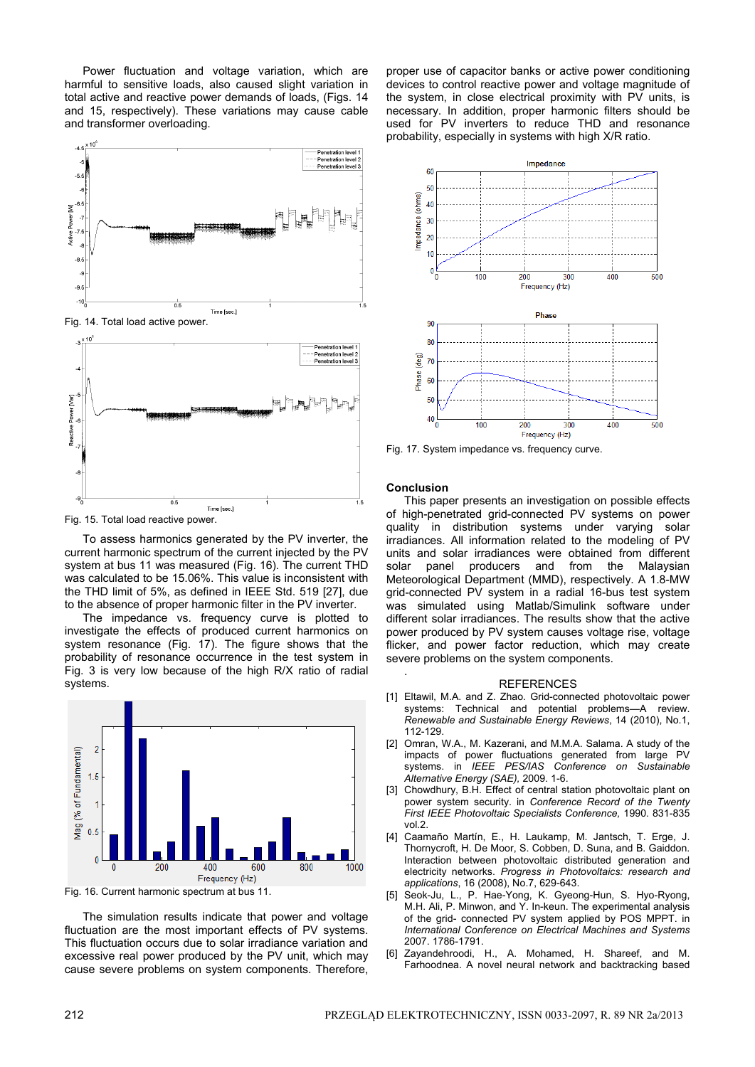Power fluctuation and voltage variation, which are harmful to sensitive loads, also caused slight variation in total active and reactive power demands of loads, (Figs. 14 and 15, respectively). These variations may cause cable and transformer overloading.



Time [sec.] Fig. 15. Total load reactive power.

To assess harmonics generated by the PV inverter, the current harmonic spectrum of the current injected by the PV system at bus 11 was measured (Fig. 16). The current THD was calculated to be 15.06%. This value is inconsistent with the THD limit of 5%, as defined in IEEE Std. 519 [27], due to the absence of proper harmonic filter in the PV inverter.

The impedance vs. frequency curve is plotted to investigate the effects of produced current harmonics on system resonance (Fig. 17). The figure shows that the probability of resonance occurrence in the test system in Fig. 3 is very low because of the high R/X ratio of radial systems.



Fig. 16. Current harmonic spectrum at bus 11.

The simulation results indicate that power and voltage fluctuation are the most important effects of PV systems. This fluctuation occurs due to solar irradiance variation and excessive real power produced by the PV unit, which may cause severe problems on system components. Therefore,

proper use of capacitor banks or active power conditioning devices to control reactive power and voltage magnitude of the system, in close electrical proximity with PV units, is necessary. In addition, proper harmonic filters should be used for PV inverters to reduce THD and resonance probability, especially in systems with high X/R ratio.



Fig. 17. System impedance vs. frequency curve.

#### **Conclusion**

.

This paper presents an investigation on possible effects of high-penetrated grid-connected PV systems on power quality in distribution systems under varying solar irradiances. All information related to the modeling of PV units and solar irradiances were obtained from different solar panel producers and from the Malaysian Meteorological Department (MMD), respectively. A 1.8-MW grid-connected PV system in a radial 16-bus test system was simulated using Matlab/Simulink software under different solar irradiances. The results show that the active power produced by PV system causes voltage rise, voltage flicker, and power factor reduction, which may create severe problems on the system components.

#### REFERENCES

- [1] Eltawil, M.A. and Z. Zhao. Grid-connected photovoltaic power systems: Technical and potential problems—A review. *Renewable and Sustainable Energy Reviews*, 14 (2010), No.1, 112-129.
- [2] Omran, W.A., M. Kazerani, and M.M.A. Salama. A study of the impacts of power fluctuations generated from large PV systems. in *IEEE PES/IAS Conference on Sustainable Alternative Energy (SAE),* 2009. 1-6.
- [3] Chowdhury, B.H. Effect of central station photovoltaic plant on power system security. in *Conference Record of the Twenty First IEEE Photovoltaic Specialists Conference,* 1990. 831-835 vol.2.
- [4] Caamaño Martín, E., H. Laukamp, M. Jantsch, T. Erge, J. Thornycroft, H. De Moor, S. Cobben, D. Suna, and B. Gaiddon. Interaction between photovoltaic distributed generation and electricity networks. *Progress in Photovoltaics: research and applications*, 16 (2008), No.7, 629-643.
- [5] Seok-Ju, L., P. Hae-Yong, K. Gyeong-Hun, S. Hyo-Ryong, M.H. Ali, P. Minwon, and Y. In-keun. The experimental analysis of the grid- connected PV system applied by POS MPPT. in *International Conference on Electrical Machines and Systems*  2007. 1786-1791.
- [6] Zayandehroodi, H., A. Mohamed, H. Shareef, and M. Farhoodnea. A novel neural network and backtracking based